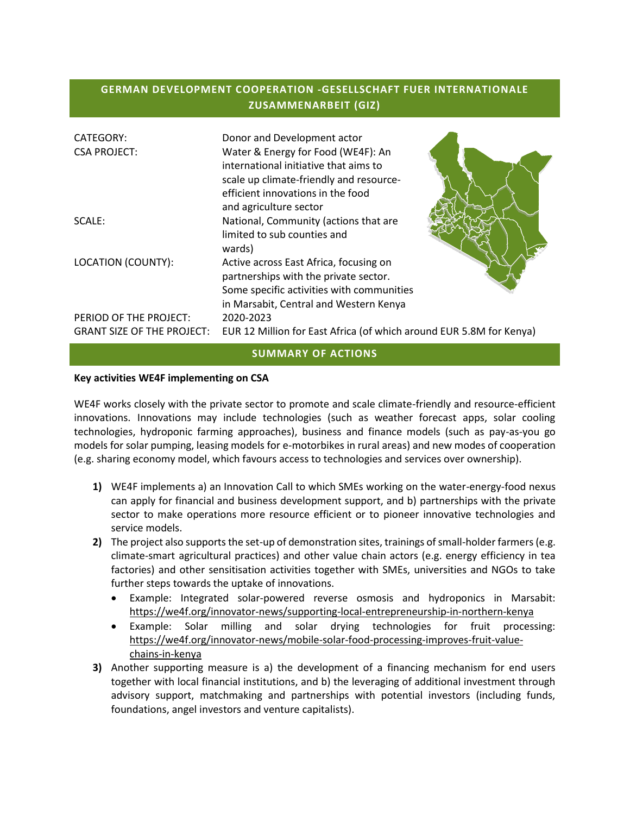# **GERMAN DEVELOPMENT COOPERATION -GESELLSCHAFT FUER INTERNATIONALE ZUSAMMENARBEIT (GIZ)**

| <b>CATEGORY:</b><br><b>CSA PROJECT:</b>                     | Donor and Development actor<br>Water & Energy for Food (WE4F): An<br>international initiative that aims to<br>scale up climate-friendly and resource-<br>efficient innovations in the food<br>and agriculture sector |
|-------------------------------------------------------------|----------------------------------------------------------------------------------------------------------------------------------------------------------------------------------------------------------------------|
| SCALE:                                                      | National, Community (actions that are<br>limited to sub counties and<br>wards)                                                                                                                                       |
| LOCATION (COUNTY):                                          | Active across East Africa, focusing on<br>partnerships with the private sector.<br>Some specific activities with communities<br>in Marsabit, Central and Western Kenya                                               |
| PERIOD OF THE PROJECT:<br><b>GRANT SIZE OF THE PROJECT:</b> | 2020-2023<br>EUR 12 Million for East Africa (of which around EUR 5.8M for Kenya)                                                                                                                                     |

#### **SUMMARY OF ACTIONS**

#### **Key activities WE4F implementing on CSA**

WE4F works closely with the private sector to promote and scale climate-friendly and resource-efficient innovations. Innovations may include technologies (such as weather forecast apps, solar cooling technologies, hydroponic farming approaches), business and finance models (such as pay-as-you go models for solar pumping, leasing models for e-motorbikes in rural areas) and new modes of cooperation (e.g. sharing economy model, which favours access to technologies and services over ownership).

- **1)** WE4F implements a) an Innovation Call to which SMEs working on the water-energy-food nexus can apply for financial and business development support, and b) partnerships with the private sector to make operations more resource efficient or to pioneer innovative technologies and service models.
- **2)** The project also supports the set-up of demonstration sites, trainings of small-holder farmers (e.g. climate-smart agricultural practices) and other value chain actors (e.g. energy efficiency in tea factories) and other sensitisation activities together with SMEs, universities and NGOs to take further steps towards the uptake of innovations.
	- Example: Integrated solar-powered reverse osmosis and hydroponics in Marsabit: <https://we4f.org/innovator-news/supporting-local-entrepreneurship-in-northern-kenya>
	- Example: Solar milling and solar drying technologies for fruit processing: [https://we4f.org/innovator-news/mobile-solar-food-processing-improves-fruit-value](https://we4f.org/innovator-news/mobile-solar-food-processing-improves-fruit-value-chains-in-kenya)[chains-in-kenya](https://we4f.org/innovator-news/mobile-solar-food-processing-improves-fruit-value-chains-in-kenya)
- **3)** Another supporting measure is a) the development of a financing mechanism for end users together with local financial institutions, and b) the leveraging of additional investment through advisory support, matchmaking and partnerships with potential investors (including funds, foundations, angel investors and venture capitalists).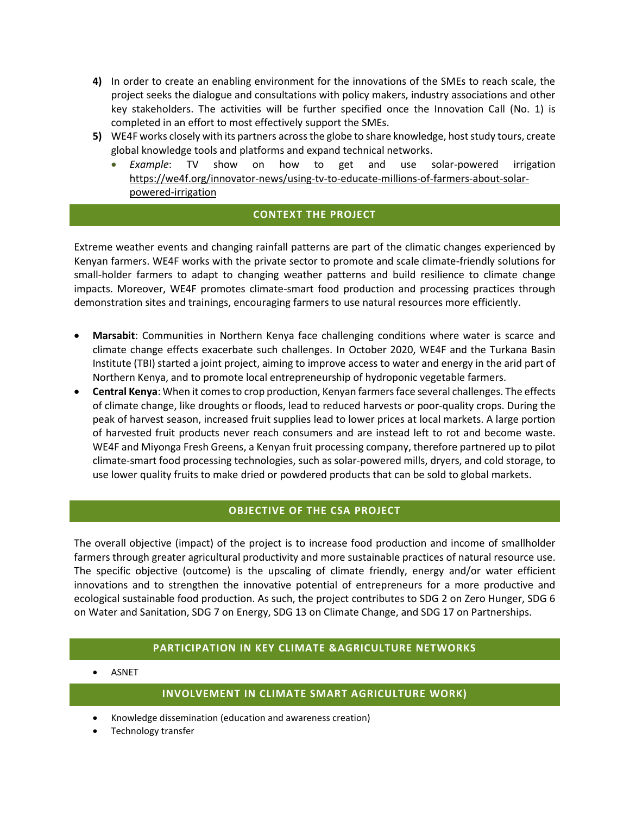- **4)** In order to create an enabling environment for the innovations of the SMEs to reach scale, the project seeks the dialogue and consultations with policy makers, industry associations and other key stakeholders. The activities will be further specified once the Innovation Call (No. 1) is completed in an effort to most effectively support the SMEs.
- **5)** WE4F works closely with its partners across the globe to share knowledge, host study tours, create global knowledge tools and platforms and expand technical networks.
	- *Example*: TV show on how to get and use solar-powered irrigation [https://we4f.org/innovator-news/using-tv-to-educate-millions-of-farmers-about-solar](https://we4f.org/innovator-news/using-tv-to-educate-millions-of-farmers-about-solar-powered-irrigation)[powered-irrigation](https://we4f.org/innovator-news/using-tv-to-educate-millions-of-farmers-about-solar-powered-irrigation)

## **CONTEXT THE PROJECT**

Extreme weather events and changing rainfall patterns are part of the climatic changes experienced by Kenyan farmers. WE4F works with the private sector to promote and scale climate-friendly solutions for small-holder farmers to adapt to changing weather patterns and build resilience to climate change impacts. Moreover, WE4F promotes climate-smart food production and processing practices through demonstration sites and trainings, encouraging farmers to use natural resources more efficiently.

- **Marsabit**: Communities in Northern Kenya face challenging conditions where water is scarce and climate change effects exacerbate such challenges. In October 2020, WE4F and the Turkana Basin Institute (TBI) started a joint project, aiming to improve access to water and energy in the arid part of Northern Kenya, and to promote local entrepreneurship of hydroponic vegetable farmers.
- **Central Kenya**: When it comes to crop production, Kenyan farmers face several challenges. The effects of climate change, like droughts or floods, lead to reduced harvests or poor-quality crops. During the peak of harvest season, increased fruit supplies lead to lower prices at local markets. A large portion of harvested fruit products never reach consumers and are instead left to rot and become waste. WE4F and Miyonga Fresh Greens, a Kenyan fruit processing company, therefore partnered up to pilot climate-smart food processing technologies, such as solar-powered mills, dryers, and cold storage, to use lower quality fruits to make dried or powdered products that can be sold to global markets.

### **OBJECTIVE OF THE CSA PROJECT**

The overall objective (impact) of the project is to increase food production and income of smallholder farmers through greater agricultural productivity and more sustainable practices of natural resource use. The specific objective (outcome) is the upscaling of climate friendly, energy and/or water efficient innovations and to strengthen the innovative potential of entrepreneurs for a more productive and ecological sustainable food production. As such, the project contributes to SDG 2 on Zero Hunger, SDG 6 on Water and Sanitation, SDG 7 on Energy, SDG 13 on Climate Change, and SDG 17 on Partnerships.

## **PARTICIPATION IN KEY CLIMATE &AGRICULTURE NETWORKS**

ASNET

#### **INVOLVEMENT IN CLIMATE SMART AGRICULTURE WORK)**

- Knowledge dissemination (education and awareness creation)
- Technology transfer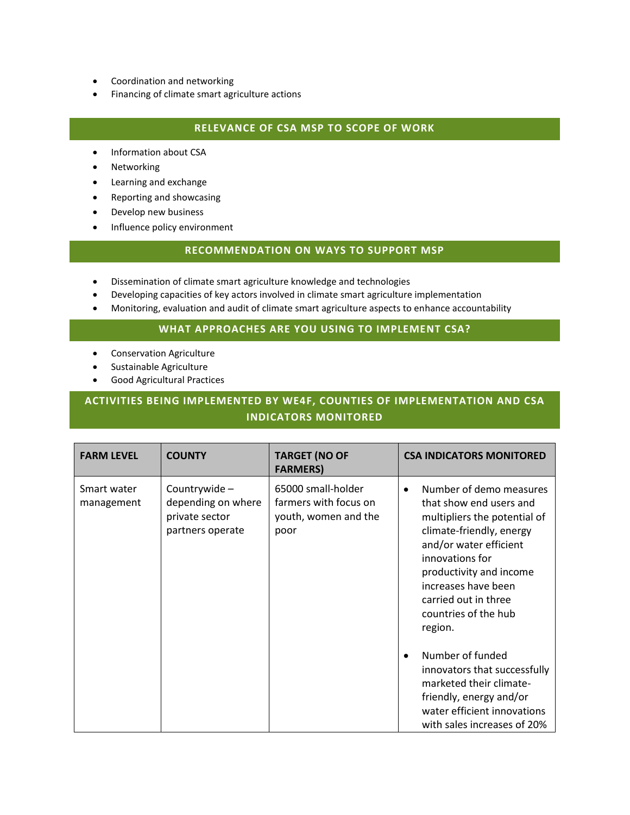- Coordination and networking
- Financing of climate smart agriculture actions

#### **RELEVANCE OF CSA MSP TO SCOPE OF WORK**

- Information about CSA
- Networking
- Learning and exchange
- Reporting and showcasing
- Develop new business
- Influence policy environment

### **RECOMMENDATION ON WAYS TO SUPPORT MSP**

- Dissemination of climate smart agriculture knowledge and technologies
- Developing capacities of key actors involved in climate smart agriculture implementation
- Monitoring, evaluation and audit of climate smart agriculture aspects to enhance accountability

#### **WHAT APPROACHES ARE YOU USING TO IMPLEMENT CSA?**

- **•** Conservation Agriculture
- Sustainable Agriculture
- Good Agricultural Practices

# **ACTIVITIES BEING IMPLEMENTED BY WE4F, COUNTIES OF IMPLEMENTATION AND CSA INDICATORS MONITORED**

| <b>FARM LEVEL</b>         | <b>COUNTY</b>                                                            | <b>TARGET (NO OF</b><br><b>FARMERS)</b>                                     | <b>CSA INDICATORS MONITORED</b>                                                                                                                                                                                                                                                                                                                                                                                                             |
|---------------------------|--------------------------------------------------------------------------|-----------------------------------------------------------------------------|---------------------------------------------------------------------------------------------------------------------------------------------------------------------------------------------------------------------------------------------------------------------------------------------------------------------------------------------------------------------------------------------------------------------------------------------|
| Smart water<br>management | Countrywide-<br>depending on where<br>private sector<br>partners operate | 65000 small-holder<br>farmers with focus on<br>youth, women and the<br>poor | Number of demo measures<br>$\bullet$<br>that show end users and<br>multipliers the potential of<br>climate-friendly, energy<br>and/or water efficient<br>innovations for<br>productivity and income<br>increases have been<br>carried out in three<br>countries of the hub<br>region.<br>Number of funded<br>$\bullet$<br>innovators that successfully<br>marketed their climate-<br>friendly, energy and/or<br>water efficient innovations |
|                           |                                                                          |                                                                             | with sales increases of 20%                                                                                                                                                                                                                                                                                                                                                                                                                 |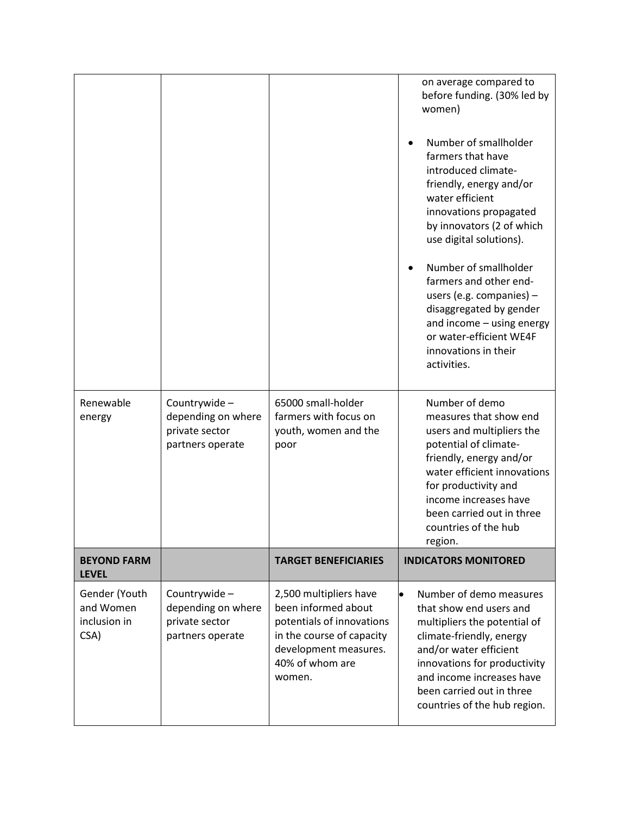| Gender (Youth<br>and Women<br>inclusion in<br>CSA) | Countrywide-<br>depending on where<br>private sector<br>partners operate | 2,500 multipliers have<br>been informed about<br>potentials of innovations<br>in the course of capacity<br>development measures.<br>40% of whom are<br>women. | Number of demo measures<br>that show end users and<br>multipliers the potential of<br>climate-friendly, energy<br>and/or water efficient<br>innovations for productivity<br>and income increases have<br>been carried out in three<br>countries of the hub region.                                           |
|----------------------------------------------------|--------------------------------------------------------------------------|---------------------------------------------------------------------------------------------------------------------------------------------------------------|--------------------------------------------------------------------------------------------------------------------------------------------------------------------------------------------------------------------------------------------------------------------------------------------------------------|
| <b>BEYOND FARM</b><br><b>LEVEL</b>                 |                                                                          | <b>TARGET BENEFICIARIES</b>                                                                                                                                   | <b>INDICATORS MONITORED</b>                                                                                                                                                                                                                                                                                  |
| Renewable<br>energy                                | Countrywide-<br>depending on where<br>private sector<br>partners operate | 65000 small-holder<br>farmers with focus on<br>youth, women and the<br>poor                                                                                   | Number of demo<br>measures that show end<br>users and multipliers the<br>potential of climate-<br>friendly, energy and/or<br>water efficient innovations<br>for productivity and<br>income increases have<br>been carried out in three<br>countries of the hub<br>region.                                    |
|                                                    |                                                                          |                                                                                                                                                               | water efficient<br>innovations propagated<br>by innovators (2 of which<br>use digital solutions).<br>Number of smallholder<br>farmers and other end-<br>users (e.g. companies) $-$<br>disaggregated by gender<br>and income - using energy<br>or water-efficient WE4F<br>innovations in their<br>activities. |
|                                                    |                                                                          |                                                                                                                                                               | Number of smallholder<br>farmers that have<br>introduced climate-<br>friendly, energy and/or                                                                                                                                                                                                                 |
|                                                    |                                                                          |                                                                                                                                                               | on average compared to<br>before funding. (30% led by<br>women)                                                                                                                                                                                                                                              |